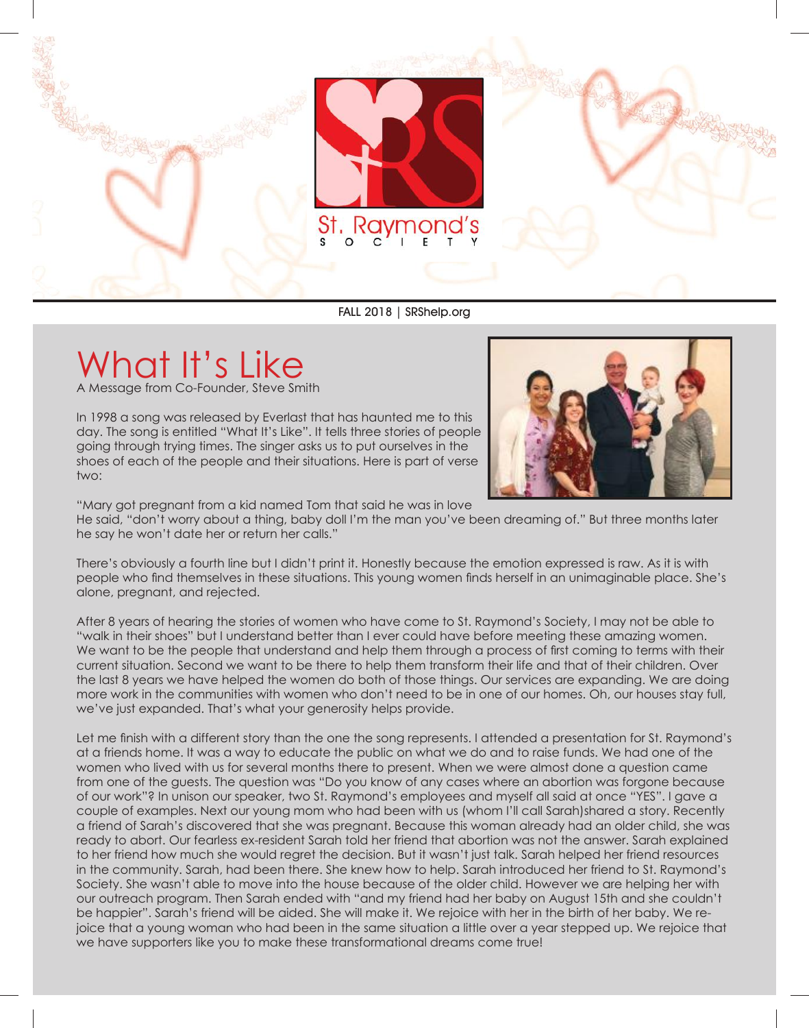

FALL 2018 | SRShelp.org

## What It's Like

A Message from Co-Founder, Steve Smith

In 1998 a song was released by Everlast that has haunted me to this day. The song is entitled "What It's Like". It tells three stories of people going through trying times. The singer asks us to put ourselves in the shoes of each of the people and their situations. Here is part of verse two:



"Mary got pregnant from a kid named Tom that said he was in love

He said, "don't worry about a thing, baby doll I'm the man you've been dreaming of." But three months later he say he won't date her or return her calls."

There's obviously a fourth line but I didn't print it. Honestly because the emotion expressed is raw. As it is with people who find themselves in these situations. This young women finds herself in an unimaginable place. She's alone, pregnant, and rejected.

After 8 years of hearing the stories of women who have come to St. Raymond's Society, I may not be able to "walk in their shoes" but I understand better than I ever could have before meeting these amazing women. We want to be the people that understand and help them through a process of first coming to terms with their current situation. Second we want to be there to help them transform their life and that of their children. Over the last 8 years we have helped the women do both of those things. Our services are expanding. We are doing more work in the communities with women who don't need to be in one of our homes. Oh, our houses stay full, we've just expanded. That's what your generosity helps provide.

Let me finish with a different story than the one the song represents. I attended a presentation for St. Raymond's at a friends home. It was a way to educate the public on what we do and to raise funds. We had one of the women who lived with us for several months there to present. When we were almost done a question came from one of the guests. The question was "Do you know of any cases where an abortion was forgone because of our work"? In unison our speaker, two St. Raymond's employees and myself all said at once "YES". I gave a couple of examples. Next our young mom who had been with us (whom I'll call Sarah)shared a story. Recently a friend of Sarah's discovered that she was pregnant. Because this woman already had an older child, she was ready to abort. Our fearless ex-resident Sarah told her friend that abortion was not the answer. Sarah explained to her friend how much she would regret the decision. But it wasn't just talk. Sarah helped her friend resources in the community. Sarah, had been there. She knew how to help. Sarah introduced her friend to St. Raymond's Society. She wasn't able to move into the house because of the older child. However we are helping her with our outreach program. Then Sarah ended with "and my friend had her baby on August 15th and she couldn't be happier". Sarah's friend will be aided. She will make it. We rejoice with her in the birth of her baby. We rejoice that a young woman who had been in the same situation a little over a year stepped up. We rejoice that we have supporters like you to make these transformational dreams come true!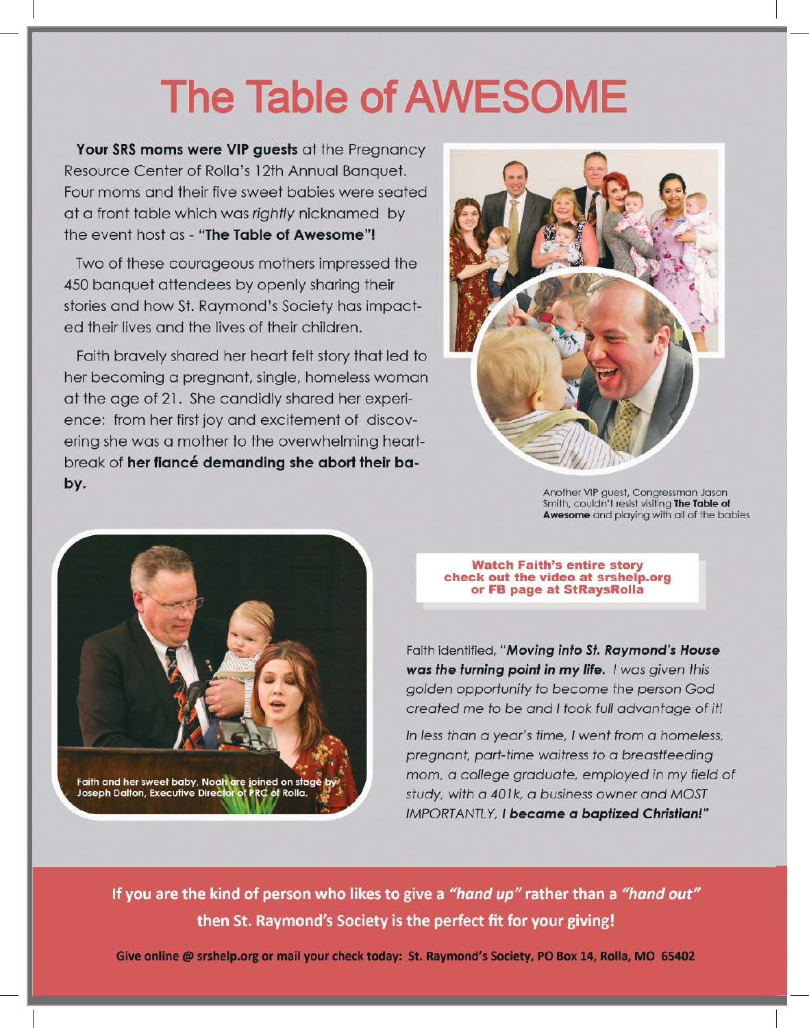# **The Table of AWESOME**

Your SRS moms were VIP guests at the Pregnancy Resource Center of Rolla's 12th Annual Banquet. Four moms and their five sweet babies were seated at a front table which was rightly nicknamed by the event host as - "The Table of Awesome"!

Two of these courageous mothers impressed the 450 banquet attendees by openly sharing their stories and how St. Raymond's Society has impacted their lives and the lives of their children.

Faith bravely shared her heart felt story that led to her becoming a pregnant, single, homeless woman at the age of 21. She candidly shared her experience: from her first joy and excitement of discovering she was a mother to the overwhelming heartbreak of her fiancé demanding she abort their baby.



Another VIP guest, Congressman Jason Smith, couldn't resist visiting The Table of Awesome and playing with all of the babies



**Watch Faith's entire story** check out the video at srshelp.org or FB page at StRaysRolla

Faith identified, "Moving into St. Raymond's House was the turning point in my life. I was given this golden opportunity to become the person God created me to be and I took full advantage of it!

In less than a year's time, I went from a homeless, pregnant, part-time waitress to a breastfeeding mom, a college graduate, employed in my field of study, with a 401k, a business owner and MOST IMPORTANTLY, I became a baptized Christian!"

If you are the kind of person who likes to give a "hand up" rather than a "hand out" then St. Raymond's Society is the perfect fit for your giving!

Give online @ srshelp.org or mail your check today: St. Raymond's Society, PO Box 14, Rolla, MO 65402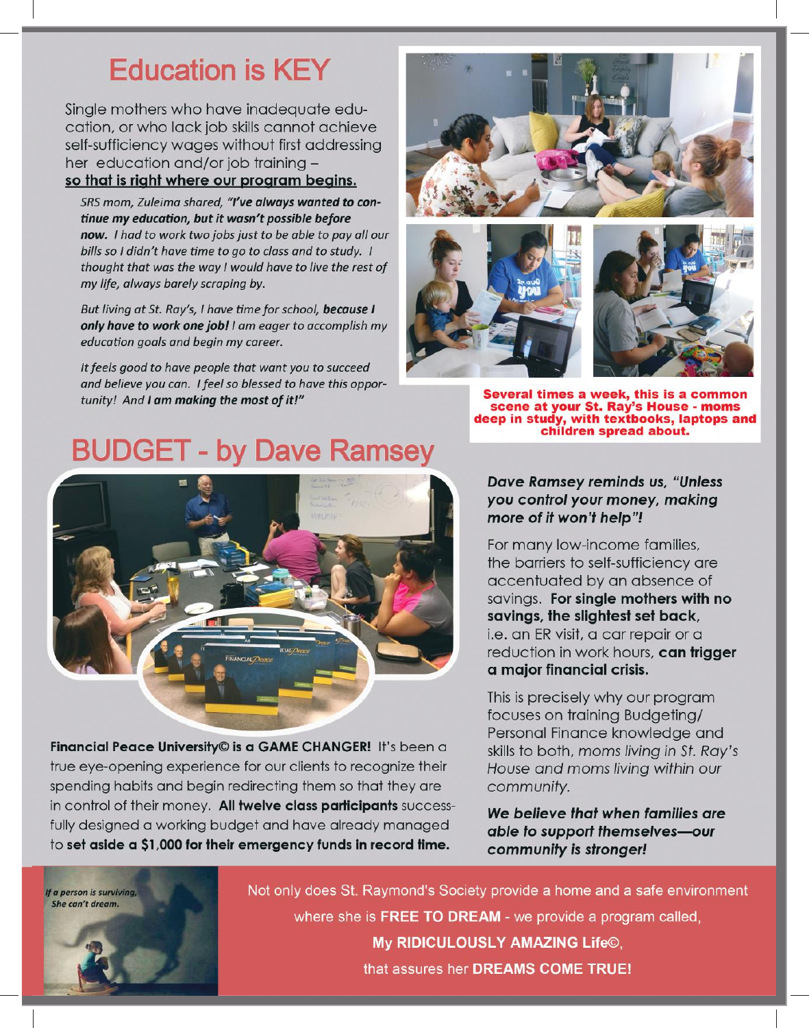### **Education is KEY**

Single mothers who have inadequate education, or who lack job skills cannot achieve self-sufficiency wages without first addressing her education and/or job training so that is right where our program begins.

SRS mom, Zuleima shared, "I've always wanted to continue my education, but it wasn't possible before now. I had to work two jobs just to be able to pay all our bills so I didn't have time to go to class and to study. I thought that was the way I would have to live the rest of my life, always barely scraping by.

But living at St. Ray's, I have time for school, because I only have to work one job! I am eager to accomplish my education goals and begin my career.

It feels good to have people that want you to succeed and believe you can. I feel so blessed to have this opportunity! And I am making the most of it!"





Several times a week, this is a common scene at your St. Ray's House - moms<br>deep in study, with textbooks, laptops and<br>children spread about.

#### **BUDGET - by Dave Ramsey**



Financial Peace University© is a GAME CHANGER! It's been a true eye-opening experience for our clients to recognize their spending habits and begin redirecting them so that they are in control of their money. All twelve class participants successfully designed a working budget and have already managed to set aside a \$1,000 for their emergency funds in record time.

**Dave Ramsey reminds us, "Unless** you control your money, making more of it won't help"!

For many low-income families, the barriers to self-sufficiency are accentuated by an absence of savings. For single mothers with no savings, the slightest set back, i.e. an ER visit, a car repair or a reduction in work hours, can trigger a major financial crisis.

This is precisely why our program focuses on training Budgeting/ Personal Finance knowledge and skills to both, moms living in St. Ray's House and moms living within our community.

We believe that when families are able to support themselves-our community is stronger!



Not only does St. Raymond's Society provide a home and a safe environment where she is FREE TO DREAM - we provide a program called, My RIDICULOUSLY AMAZING Life©, that assures her DREAMS COME TRUE!